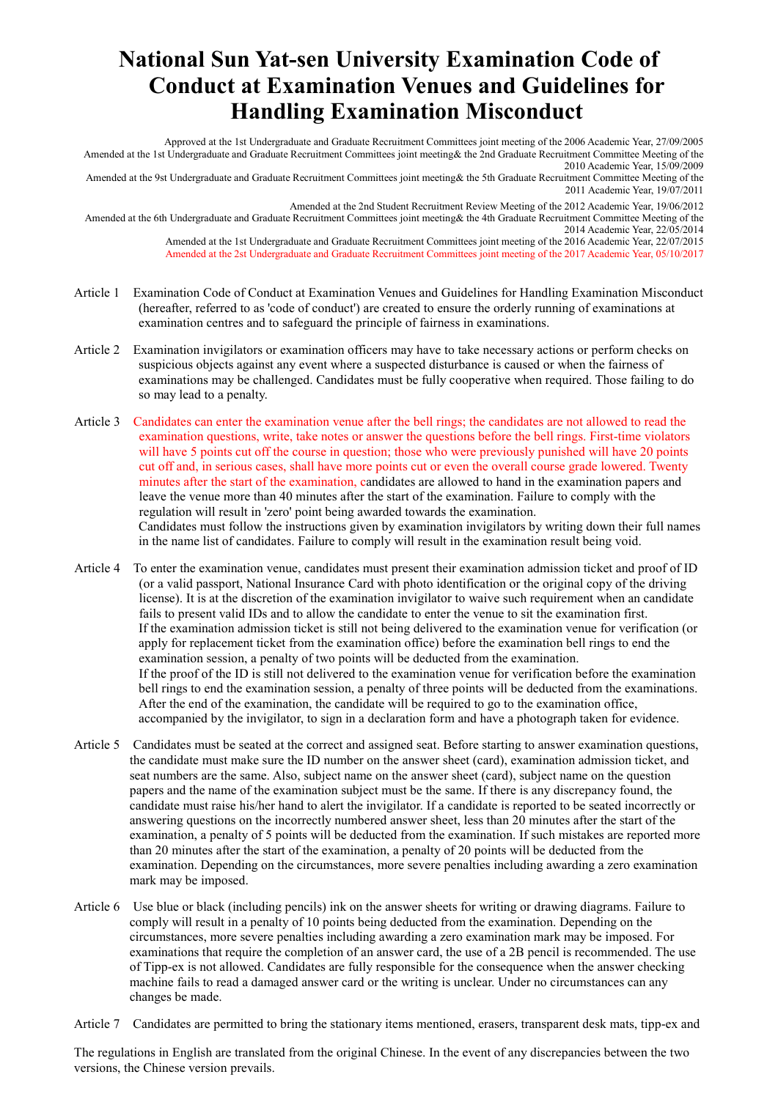## **National Sun Yat-sen University Examination Code of Conduct at Examination Venues and Guidelines for Handling Examination Misconduct**

Approved at the 1st Undergraduate and Graduate Recruitment Committees joint meeting of the 2006 Academic Year, 27/09/2005 Amended at the 1st Undergraduate and Graduate Recruitment Committees joint meeting& the 2nd Graduate Recruitment Committee Meeting of the 2010 Academic Year, 15/09/2009

Amended at the 9st Undergraduate and Graduate Recruitment Committees joint meeting& the 5th Graduate Recruitment Committee Meeting of the 2011 Academic Year, 19/07/2011

Amended at the 2nd Student Recruitment Review Meeting of the 2012 Academic Year, 19/06/2012 Amended at the 6th Undergraduate and Graduate Recruitment Committees joint meeting& the 4th Graduate Recruitment Committee Meeting of the

2014 Academic Year, 22/05/2014

Amended at the 1st Undergraduate and Graduate Recruitment Committees joint meeting of the 2016 Academic Year, 22/07/2015 Amended at the 2st Undergraduate and Graduate Recruitment Committees joint meeting of the 2017 Academic Year, 05/10/2017

- Article 1 Examination Code of Conduct at Examination Venues and Guidelines for Handling Examination Misconduct (hereafter, referred to as 'code of conduct') are created to ensure the orderly running of examinations at examination centres and to safeguard the principle of fairness in examinations.
- Article 2 Examination invigilators or examination officers may have to take necessary actions or perform checks on suspicious objects against any event where a suspected disturbance is caused or when the fairness of examinations may be challenged. Candidates must be fully cooperative when required. Those failing to do so may lead to a penalty.
- Article 3 Candidates can enter the examination venue after the bell rings; the candidates are not allowed to read the examination questions, write, take notes or answer the questions before the bell rings. First-time violators will have 5 points cut off the course in question; those who were previously punished will have 20 points cut off and, in serious cases, shall have more points cut or even the overall course grade lowered. Twenty minutes after the start of the examination, candidates are allowed to hand in the examination papers and leave the venue more than 40 minutes after the start of the examination. Failure to comply with the regulation will result in 'zero' point being awarded towards the examination. Candidates must follow the instructions given by examination invigilators by writing down their full names in the name list of candidates. Failure to comply will result in the examination result being void.
- Article 4 To enter the examination venue, candidates must present their examination admission ticket and proof of ID (or a valid passport, National Insurance Card with photo identification or the original copy of the driving license). It is at the discretion of the examination invigilator to waive such requirement when an candidate fails to present valid IDs and to allow the candidate to enter the venue to sit the examination first. If the examination admission ticket is still not being delivered to the examination venue for verification (or apply for replacement ticket from the examination office) before the examination bell rings to end the examination session, a penalty of two points will be deducted from the examination. If the proof of the ID is still not delivered to the examination venue for verification before the examination bell rings to end the examination session, a penalty of three points will be deducted from the examinations. After the end of the examination, the candidate will be required to go to the examination office, accompanied by the invigilator, to sign in a declaration form and have a photograph taken for evidence.
- Article 5 Candidates must be seated at the correct and assigned seat. Before starting to answer examination questions, the candidate must make sure the ID number on the answer sheet (card), examination admission ticket, and seat numbers are the same. Also, subject name on the answer sheet (card), subject name on the question papers and the name of the examination subject must be the same. If there is any discrepancy found, the candidate must raise his/her hand to alert the invigilator. If a candidate is reported to be seated incorrectly or answering questions on the incorrectly numbered answer sheet, less than 20 minutes after the start of the examination, a penalty of 5 points will be deducted from the examination. If such mistakes are reported more than 20 minutes after the start of the examination, a penalty of 20 points will be deducted from the examination. Depending on the circumstances, more severe penalties including awarding a zero examination mark may be imposed.
- Article 6 Use blue or black (including pencils) ink on the answer sheets for writing or drawing diagrams. Failure to comply will result in a penalty of 10 points being deducted from the examination. Depending on the circumstances, more severe penalties including awarding a zero examination mark may be imposed. For examinations that require the completion of an answer card, the use of a 2B pencil is recommended. The use of Tipp-ex is not allowed. Candidates are fully responsible for the consequence when the answer checking machine fails to read a damaged answer card or the writing is unclear. Under no circumstances can any changes be made.

Article 7 Candidates are permitted to bring the stationary items mentioned, erasers, transparent desk mats, tipp-ex and

The regulations in English are translated from the original Chinese. In the event of any discrepancies between the two versions, the Chinese version prevails.